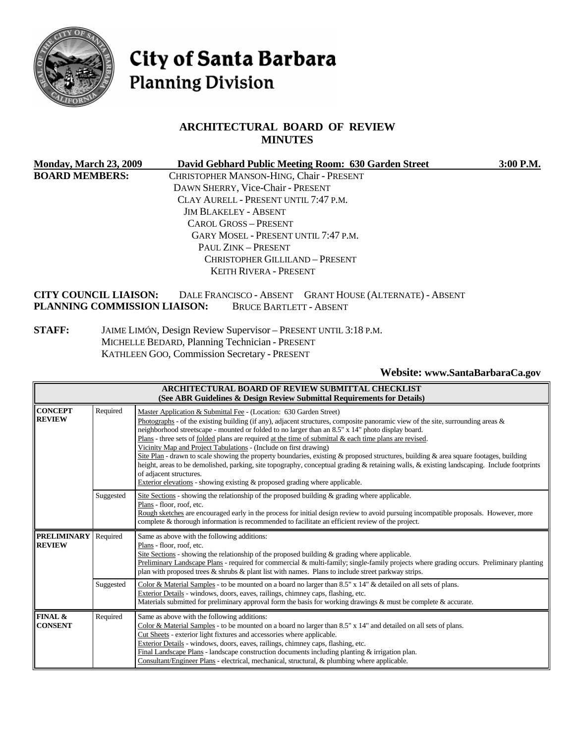

# City of Santa Barbara **Planning Division**

# **ARCHITECTURAL BOARD OF REVIEW MINUTES**

| <b>Monday, March 23, 2009</b> | David Gebhard Public Meeting Room: 630 Garden Street     | 3:00 P.M. |
|-------------------------------|----------------------------------------------------------|-----------|
| <b>BOARD MEMBERS:</b>         | CHRISTOPHER MANSON-HING, Chair - PRESENT                 |           |
|                               | DAWN SHERRY, Vice-Chair - PRESENT                        |           |
|                               | CLAY AURELL - PRESENT UNTIL 7:47 P.M.                    |           |
|                               | <b>JIM BLAKELEY - ABSENT</b>                             |           |
|                               | CAROL GROSS - PRESENT                                    |           |
|                               | GARY MOSEL - PRESENT UNTIL 7:47 P.M.                     |           |
|                               | PAUL ZINK - PRESENT                                      |           |
|                               | CHRISTOPHER GILLILAND - PRESENT                          |           |
|                               | KEITH RIVERA - PRESENT                                   |           |
| <b>CITY COUNCIL LIAISON:</b>  | DALE FRANCISCO - ABSENT GRANT HOUSE (ALTERNATE) - ABSENT |           |
| PLANNING COMMISSION LIAISON:  | <b>BRUCE BARTLETT - ABSENT</b>                           |           |

**STAFF:** JAIME LIMÓN, Design Review Supervisor – PRESENT UNTIL 3:18 P.M. MICHELLE BEDARD, Planning Technician - PRESENT KATHLEEN GOO, Commission Secretary - PRESENT

**Website: [www.SantaBarbaraCa.gov](http://www.santabarbaraca.gov/)** 

| <b>ARCHITECTURAL BOARD OF REVIEW SUBMITTAL CHECKLIST</b><br>(See ABR Guidelines & Design Review Submittal Requirements for Details) |           |                                                                                                                                                                                                                                                                                                                                                                                                                                                                                                                                                                                                                                                                                                                                                                                                                                                                     |  |
|-------------------------------------------------------------------------------------------------------------------------------------|-----------|---------------------------------------------------------------------------------------------------------------------------------------------------------------------------------------------------------------------------------------------------------------------------------------------------------------------------------------------------------------------------------------------------------------------------------------------------------------------------------------------------------------------------------------------------------------------------------------------------------------------------------------------------------------------------------------------------------------------------------------------------------------------------------------------------------------------------------------------------------------------|--|
| <b>CONCEPT</b><br>Required<br><b>REVIEW</b><br>of adjacent structures.                                                              |           | Master Application & Submittal Fee - (Location: 630 Garden Street)<br>Photographs - of the existing building (if any), adjacent structures, composite panoramic view of the site, surrounding areas &<br>neighborhood streetscape - mounted or folded to no larger than an 8.5" x 14" photo display board.<br>Plans - three sets of folded plans are required at the time of submittal & each time plans are revised.<br>Vicinity Map and Project Tabulations - (Include on first drawing)<br>Site Plan - drawn to scale showing the property boundaries, existing & proposed structures, building & area square footages, building<br>height, areas to be demolished, parking, site topography, conceptual grading & retaining walls, & existing landscaping. Include footprints<br>Exterior elevations - showing existing $\&$ proposed grading where applicable. |  |
|                                                                                                                                     | Suggested | Site Sections - showing the relationship of the proposed building & grading where applicable.<br>Plans - floor, roof, etc.<br>Rough sketches are encouraged early in the process for initial design review to avoid pursuing incompatible proposals. However, more<br>complete & thorough information is recommended to facilitate an efficient review of the project.                                                                                                                                                                                                                                                                                                                                                                                                                                                                                              |  |
| <b>PRELIMINARY</b><br><b>REVIEW</b>                                                                                                 | Required  | Same as above with the following additions:<br>Plans - floor, roof, etc.<br>Site Sections - showing the relationship of the proposed building $\&$ grading where applicable.<br>Preliminary Landscape Plans - required for commercial & multi-family; single-family projects where grading occurs. Preliminary planting<br>plan with proposed trees $\&$ shrubs $\&$ plant list with names. Plans to include street parkway strips.                                                                                                                                                                                                                                                                                                                                                                                                                                 |  |
|                                                                                                                                     | Suggested | Color & Material Samples - to be mounted on a board no larger than 8.5" x 14" & detailed on all sets of plans.<br>Exterior Details - windows, doors, eaves, railings, chimney caps, flashing, etc.<br>Materials submitted for preliminary approval form the basis for working drawings & must be complete & accurate.                                                                                                                                                                                                                                                                                                                                                                                                                                                                                                                                               |  |
| FINAL &<br><b>CONSENT</b>                                                                                                           | Required  | Same as above with the following additions:<br>Color & Material Samples - to be mounted on a board no larger than $8.5" \times 14"$ and detailed on all sets of plans.<br>Cut Sheets - exterior light fixtures and accessories where applicable.<br>Exterior Details - windows, doors, eaves, railings, chimney caps, flashing, etc.<br>Final Landscape Plans - landscape construction documents including planting $\&$ irrigation plan.<br>Consultant/Engineer Plans - electrical, mechanical, structural, & plumbing where applicable.                                                                                                                                                                                                                                                                                                                           |  |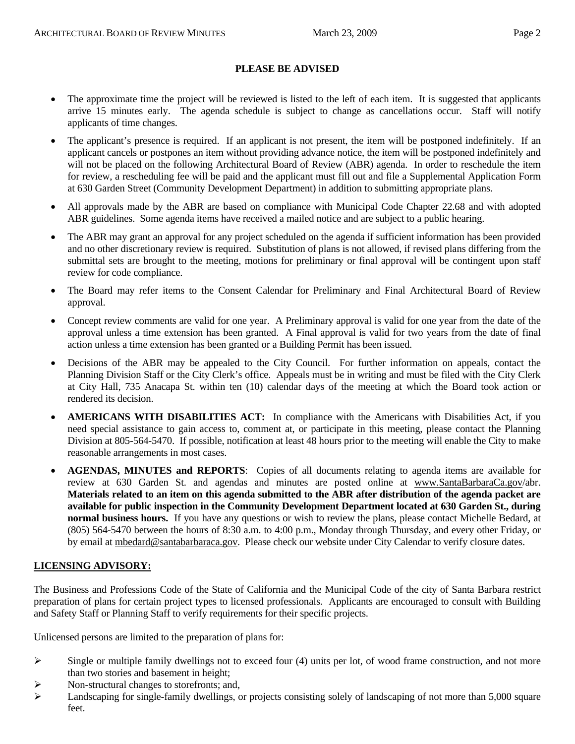#### **PLEASE BE ADVISED**

- The approximate time the project will be reviewed is listed to the left of each item. It is suggested that applicants arrive 15 minutes early. The agenda schedule is subject to change as cancellations occur. Staff will notify applicants of time changes.
- The applicant's presence is required. If an applicant is not present, the item will be postponed indefinitely. If an applicant cancels or postpones an item without providing advance notice, the item will be postponed indefinitely and will not be placed on the following Architectural Board of Review (ABR) agenda. In order to reschedule the item for review, a rescheduling fee will be paid and the applicant must fill out and file a Supplemental Application Form at 630 Garden Street (Community Development Department) in addition to submitting appropriate plans.
- All approvals made by the ABR are based on compliance with Municipal Code Chapter 22.68 and with adopted ABR guidelines. Some agenda items have received a mailed notice and are subject to a public hearing.
- The ABR may grant an approval for any project scheduled on the agenda if sufficient information has been provided and no other discretionary review is required. Substitution of plans is not allowed, if revised plans differing from the submittal sets are brought to the meeting, motions for preliminary or final approval will be contingent upon staff review for code compliance.
- The Board may refer items to the Consent Calendar for Preliminary and Final Architectural Board of Review approval.
- Concept review comments are valid for one year. A Preliminary approval is valid for one year from the date of the approval unless a time extension has been granted. A Final approval is valid for two years from the date of final action unless a time extension has been granted or a Building Permit has been issued.
- Decisions of the ABR may be appealed to the City Council. For further information on appeals, contact the Planning Division Staff or the City Clerk's office. Appeals must be in writing and must be filed with the City Clerk at City Hall, 735 Anacapa St. within ten (10) calendar days of the meeting at which the Board took action or rendered its decision.
- **AMERICANS WITH DISABILITIES ACT:** In compliance with the Americans with Disabilities Act, if you need special assistance to gain access to, comment at, or participate in this meeting, please contact the Planning Division at 805-564-5470. If possible, notification at least 48 hours prior to the meeting will enable the City to make reasonable arrangements in most cases.
- **AGENDAS, MINUTES and REPORTS**: Copies of all documents relating to agenda items are available for review at 630 Garden St. and agendas and minutes are posted online at [www.SantaBarbaraCa.gov/](http://www.santabarbaraca.gov/)abr. **Materials related to an item on this agenda submitted to the ABR after distribution of the agenda packet are available for public inspection in the Community Development Department located at 630 Garden St., during normal business hours.** If you have any questions or wish to review the plans, please contact Michelle Bedard, at (805) 564-5470 between the hours of 8:30 a.m. to 4:00 p.m., Monday through Thursday, and every other Friday, or by email at [mbedard@santabarbaraca.gov](mailto:mbedard@santabarbaraca.gov). Please check our website under City Calendar to verify closure dates.

## **LICENSING ADVISORY:**

The Business and Professions Code of the State of California and the Municipal Code of the city of Santa Barbara restrict preparation of plans for certain project types to licensed professionals. Applicants are encouraged to consult with Building and Safety Staff or Planning Staff to verify requirements for their specific projects.

Unlicensed persons are limited to the preparation of plans for:

- $\triangleright$  Single or multiple family dwellings not to exceed four (4) units per lot, of wood frame construction, and not more than two stories and basement in height;
- $\triangleright$  Non-structural changes to storefronts; and,
- $\blacktriangleright$  Landscaping for single-family dwellings, or projects consisting solely of landscaping of not more than 5,000 square feet.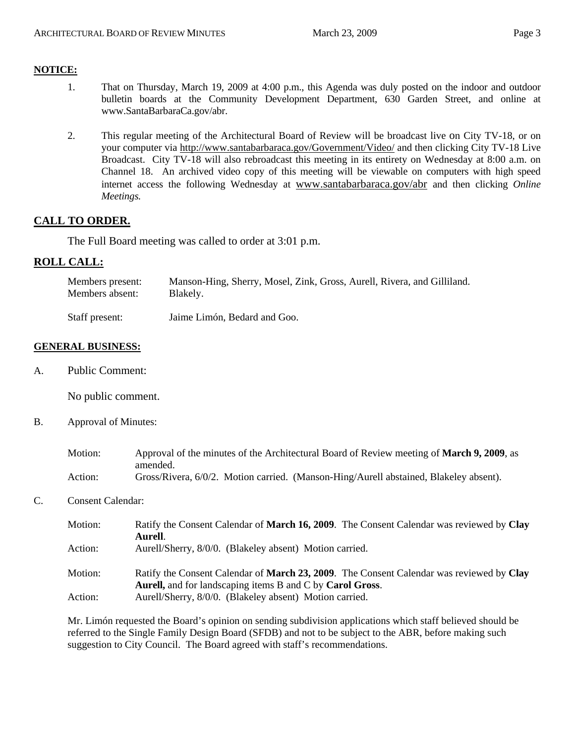# **NOTICE:**

- 1. That on Thursday, March 19, 2009 at 4:00 p.m., this Agenda was duly posted on the indoor and outdoor bulletin boards at the Community Development Department, 630 Garden Street, and online at [www.SantaBarbaraCa.gov/abr.](http://www.santabarbaraca.gov/abr)
- 2. This regular meeting of the Architectural Board of Review will be broadcast live on City TV-18, or on your computer via <http://www.santabarbaraca.gov/Government/Video/> and then clicking City TV-18 Live Broadcast. City TV-18 will also rebroadcast this meeting in its entirety on Wednesday at 8:00 a.m. on Channel 18. An archived video copy of this meeting will be viewable on computers with high speed internet access the following Wednesday at [www.santabarbaraca.gov/abr](http://www.santabarbaraca.gov/abr) and then clicking *Online Meetings.*

# **CALL TO ORDER.**

The Full Board meeting was called to order at 3:01 p.m.

# **ROLL CALL:**

| Members present: | Manson-Hing, Sherry, Mosel, Zink, Gross, Aurell, Rivera, and Gilliland. |
|------------------|-------------------------------------------------------------------------|
| Members absent:  | Blakely.                                                                |

Staff present: Jaime Limón, Bedard and Goo.

#### **GENERAL BUSINESS:**

A. Public Comment:

No public comment.

B. Approval of Minutes:

| Motion: | Approval of the minutes of the Architectural Board of Review meeting of <b>March 9, 2009</b> , as |
|---------|---------------------------------------------------------------------------------------------------|
|         | amended.                                                                                          |
| Action: | Gross/Rivera, 6/0/2. Motion carried. (Manson-Hing/Aurell abstained, Blakeley absent).             |

## C. Consent Calendar:

| Motion: | Ratify the Consent Calendar of March 16, 2009. The Consent Calendar was reviewed by Clay<br>Aurell.                                                   |
|---------|-------------------------------------------------------------------------------------------------------------------------------------------------------|
| Action: | Aurell/Sherry, 8/0/0. (Blakeley absent) Motion carried.                                                                                               |
| Motion: | Ratify the Consent Calendar of March 23, 2009. The Consent Calendar was reviewed by Clay<br>Aurell, and for landscaping items B and C by Carol Gross. |
| Action: | Aurell/Sherry, 8/0/0. (Blakeley absent) Motion carried.                                                                                               |

Mr. Limón requested the Board's opinion on sending subdivision applications which staff believed should be referred to the Single Family Design Board (SFDB) and not to be subject to the ABR, before making such suggestion to City Council. The Board agreed with staff's recommendations.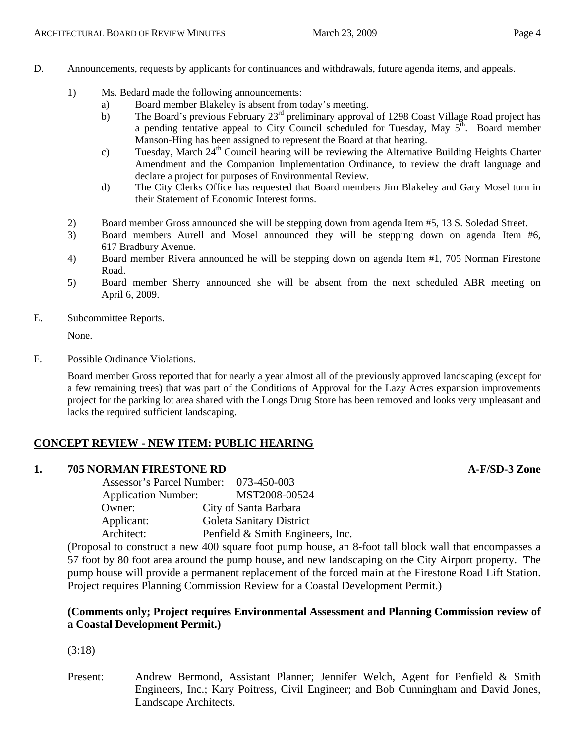- D. Announcements, requests by applicants for continuances and withdrawals, future agenda items, and appeals.
	- 1) Ms. Bedard made the following announcements:
		- a) Board member Blakeley is absent from today's meeting.
		- b) The Board's previous February 23<sup>rd</sup> preliminary approval of 1298 Coast Village Road project has a pending tentative appeal to City Council scheduled for Tuesday, May  $5<sup>th</sup>$ . Board member Manson-Hing has been assigned to represent the Board at that hearing.
		- c) Tuesday, March 24<sup>th</sup> Council hearing will be reviewing the Alternative Building Heights Charter Amendment and the Companion Implementation Ordinance, to review the draft language and declare a project for purposes of Environmental Review.
		- d) The City Clerks Office has requested that Board members Jim Blakeley and Gary Mosel turn in their Statement of Economic Interest forms.
	- 2) Board member Gross announced she will be stepping down from agenda Item #5, 13 S. Soledad Street.
	- 3) Board members Aurell and Mosel announced they will be stepping down on agenda Item #6, 617 Bradbury Avenue.
	- 4) Board member Rivera announced he will be stepping down on agenda Item #1, 705 Norman Firestone Road.
	- 5) Board member Sherry announced she will be absent from the next scheduled ABR meeting on April 6, 2009.
- E. Subcommittee Reports.

None.

F. Possible Ordinance Violations.

Board member Gross reported that for nearly a year almost all of the previously approved landscaping (except for a few remaining trees) that was part of the Conditions of Approval for the Lazy Acres expansion improvements project for the parking lot area shared with the Longs Drug Store has been removed and looks very unpleasant and lacks the required sufficient landscaping.

# **CONCEPT REVIEW - NEW ITEM: PUBLIC HEARING**

## **1. 705 NORMAN FIRESTONE RD A-F/SD-3 Zone**

 Assessor's Parcel Number: 073-450-003 Application Number: MST2008-00524 Owner: City of Santa Barbara Applicant: Goleta Sanitary District Architect: Penfield & Smith Engineers, Inc.

(Proposal to construct a new 400 square foot pump house, an 8-foot tall block wall that encompasses a 57 foot by 80 foot area around the pump house, and new landscaping on the City Airport property. The pump house will provide a permanent replacement of the forced main at the Firestone Road Lift Station. Project requires Planning Commission Review for a Coastal Development Permit.)

## **(Comments only; Project requires Environmental Assessment and Planning Commission review of a Coastal Development Permit.)**

(3:18)

Present: Andrew Bermond, Assistant Planner; Jennifer Welch, Agent for Penfield & Smith Engineers, Inc.; Kary Poitress, Civil Engineer; and Bob Cunningham and David Jones, Landscape Architects.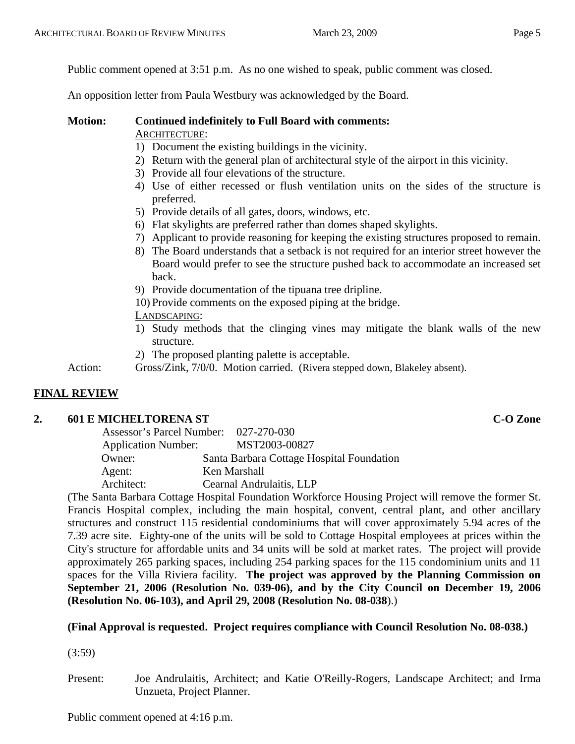Public comment opened at 3:51 p.m. As no one wished to speak, public comment was closed.

An opposition letter from Paula Westbury was acknowledged by the Board.

## **Motion: Continued indefinitely to Full Board with comments:**  ARCHITECTURE:

- 1) Document the existing buildings in the vicinity.
- 2) Return with the general plan of architectural style of the airport in this vicinity.
- 3) Provide all four elevations of the structure.
- 4) Use of either recessed or flush ventilation units on the sides of the structure is preferred.
- 5) Provide details of all gates, doors, windows, etc.
- 6) Flat skylights are preferred rather than domes shaped skylights.
- 7) Applicant to provide reasoning for keeping the existing structures proposed to remain.
- 8) The Board understands that a setback is not required for an interior street however the Board would prefer to see the structure pushed back to accommodate an increased set back.
- 9) Provide documentation of the tipuana tree dripline.
- 10) Provide comments on the exposed piping at the bridge.

LANDSCAPING:

- 1) Study methods that the clinging vines may mitigate the blank walls of the new structure.
- 2) The proposed planting palette is acceptable.

Action: Gross/Zink, 7/0/0. Motion carried. (Rivera stepped down, Blakeley absent).

# **FINAL REVIEW**

# **2.** 601 E MICHELTORENA ST **C-O** Zone

| Assessor's Parcel Number: 027-270-030 |                                           |
|---------------------------------------|-------------------------------------------|
| <b>Application Number:</b>            | MST2003-00827                             |
| Owner:                                | Santa Barbara Cottage Hospital Foundation |
| Agent:                                | Ken Marshall                              |
| Architect:                            | Cearnal Andrulaitis, LLP                  |
|                                       |                                           |

(The Santa Barbara Cottage Hospital Foundation Workforce Housing Project will remove the former St. Francis Hospital complex, including the main hospital, convent, central plant, and other ancillary structures and construct 115 residential condominiums that will cover approximately 5.94 acres of the 7.39 acre site. Eighty-one of the units will be sold to Cottage Hospital employees at prices within the City's structure for affordable units and 34 units will be sold at market rates. The project will provide approximately 265 parking spaces, including 254 parking spaces for the 115 condominium units and 11 spaces for the Villa Riviera facility. **The project was approved by the Planning Commission on September 21, 2006 (Resolution No. 039-06), and by the City Council on December 19, 2006 (Resolution No. 06-103), and April 29, 2008 (Resolution No. 08-038**).)

# **(Final Approval is requested. Project requires compliance with Council Resolution No. 08-038.)**

(3:59)

Present: Joe Andrulaitis, Architect; and Katie O'Reilly-Rogers, Landscape Architect; and Irma Unzueta, Project Planner.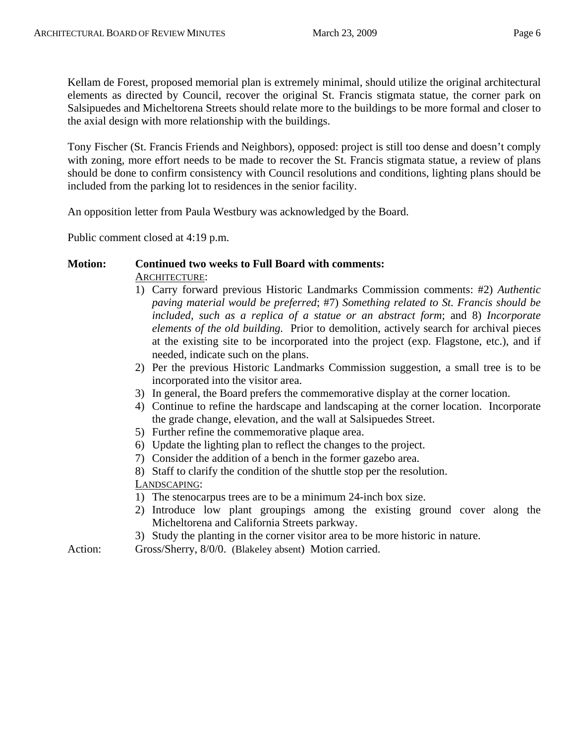Kellam de Forest, proposed memorial plan is extremely minimal, should utilize the original architectural elements as directed by Council, recover the original St. Francis stigmata statue, the corner park on Salsipuedes and Micheltorena Streets should relate more to the buildings to be more formal and closer to the axial design with more relationship with the buildings.

Tony Fischer (St. Francis Friends and Neighbors), opposed: project is still too dense and doesn't comply with zoning, more effort needs to be made to recover the St. Francis stigmata statue, a review of plans should be done to confirm consistency with Council resolutions and conditions, lighting plans should be included from the parking lot to residences in the senior facility.

An opposition letter from Paula Westbury was acknowledged by the Board.

Public comment closed at 4:19 p.m.

# **Motion: Continued two weeks to Full Board with comments:**  ARCHITECTURE:

- 1) Carry forward previous Historic Landmarks Commission comments: #2) *Authentic paving material would be preferred*; #7) *Something related to St. Francis should be included, such as a replica of a statue or an abstract form*; and 8) *Incorporate elements of the old building.* Prior to demolition, actively search for archival pieces at the existing site to be incorporated into the project (exp. Flagstone, etc.), and if needed, indicate such on the plans.
- 2) Per the previous Historic Landmarks Commission suggestion, a small tree is to be incorporated into the visitor area.
- 3) In general, the Board prefers the commemorative display at the corner location.
- 4) Continue to refine the hardscape and landscaping at the corner location. Incorporate the grade change, elevation, and the wall at Salsipuedes Street.
- 5) Further refine the commemorative plaque area.
- 6) Update the lighting plan to reflect the changes to the project.
- 7) Consider the addition of a bench in the former gazebo area.

8) Staff to clarify the condition of the shuttle stop per the resolution. LANDSCAPING:

- 1) The stenocarpus trees are to be a minimum 24-inch box size.
- 2) Introduce low plant groupings among the existing ground cover along the Micheltorena and California Streets parkway.
- 3) Study the planting in the corner visitor area to be more historic in nature.

Action: Gross/Sherry, 8/0/0. (Blakeley absent) Motion carried.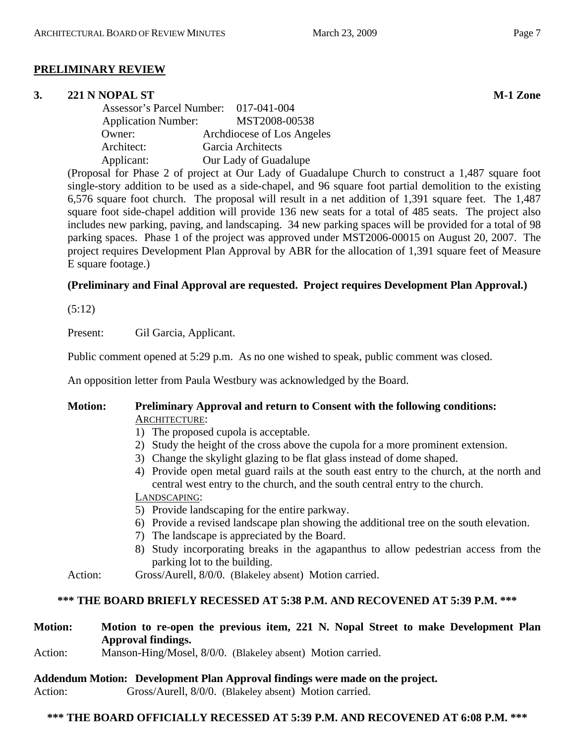# **PRELIMINARY REVIEW**

# **3. 221 N NOPAL ST M-1 Zone**

 Assessor's Parcel Number: 017-041-004 Application Number: MST2008-00538 Owner: Archdiocese of Los Angeles Architect: Garcia Architects Applicant: Our Lady of Guadalupe

(Proposal for Phase 2 of project at Our Lady of Guadalupe Church to construct a 1,487 square foot single-story addition to be used as a side-chapel, and 96 square foot partial demolition to the existing 6,576 square foot church. The proposal will result in a net addition of 1,391 square feet. The 1,487 square foot side-chapel addition will provide 136 new seats for a total of 485 seats. The project also includes new parking, paving, and landscaping. 34 new parking spaces will be provided for a total of 98 parking spaces. Phase 1 of the project was approved under MST2006-00015 on August 20, 2007. The project requires Development Plan Approval by ABR for the allocation of 1,391 square feet of Measure E square footage.)

# **(Preliminary and Final Approval are requested. Project requires Development Plan Approval.)**

(5:12)

Present: Gil Garcia, Applicant.

Public comment opened at 5:29 p.m. As no one wished to speak, public comment was closed.

An opposition letter from Paula Westbury was acknowledged by the Board.

## **Motion: Preliminary Approval and return to Consent with the following conditions:**  ARCHITECTURE:

- 1) The proposed cupola is acceptable.
- 2) Study the height of the cross above the cupola for a more prominent extension.
- 3) Change the skylight glazing to be flat glass instead of dome shaped.
- 4) Provide open metal guard rails at the south east entry to the church, at the north and central west entry to the church, and the south central entry to the church.

# LANDSCAPING:

- 5) Provide landscaping for the entire parkway.
- 6) Provide a revised landscape plan showing the additional tree on the south elevation.
- 7) The landscape is appreciated by the Board.
- 8) Study incorporating breaks in the agapanthus to allow pedestrian access from the parking lot to the building.
- Action: Gross/Aurell, 8/0/0. (Blakeley absent) Motion carried.

## **\*\*\* THE BOARD BRIEFLY RECESSED AT 5:38 P.M. AND RECOVENED AT 5:39 P.M. \*\*\***

# **Motion: Motion to re-open the previous item, 221 N. Nopal Street to make Development Plan Approval findings.**

Action: Manson-Hing/Mosel, 8/0/0. (Blakeley absent) Motion carried.

## **Addendum Motion: Development Plan Approval findings were made on the project.**

Action: Gross/Aurell, 8/0/0. (Blakeley absent) Motion carried.

# **\*\*\* THE BOARD OFFICIALLY RECESSED AT 5:39 P.M. AND RECOVENED AT 6:08 P.M. \*\*\***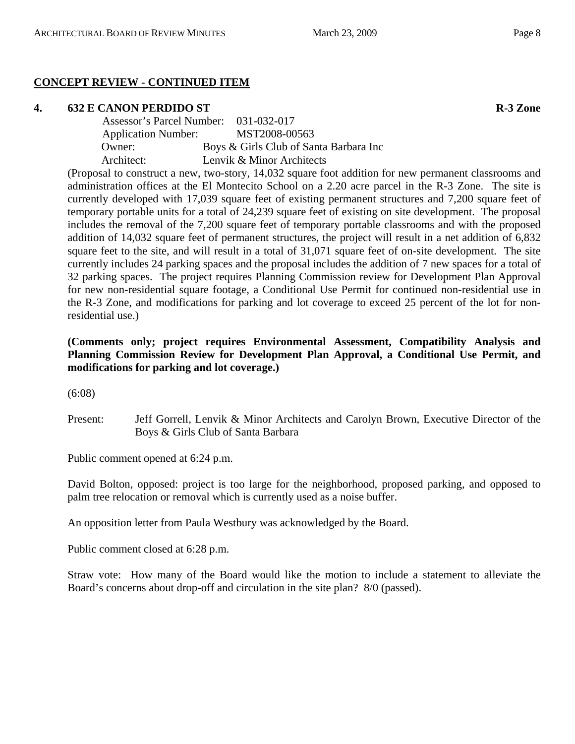# **CONCEPT REVIEW - CONTINUED ITEM**

# **4.** 632 E CANON PERDIDO ST R-3 Zone

| Assessor's Parcel Number: 031-032-017 |                                        |
|---------------------------------------|----------------------------------------|
| <b>Application Number:</b>            | MST2008-00563                          |
| Owner:                                | Boys & Girls Club of Santa Barbara Inc |
| Architect:                            | Lenvik & Minor Architects              |

(Proposal to construct a new, two-story, 14,032 square foot addition for new permanent classrooms and administration offices at the El Montecito School on a 2.20 acre parcel in the R-3 Zone. The site is currently developed with 17,039 square feet of existing permanent structures and 7,200 square feet of temporary portable units for a total of 24,239 square feet of existing on site development. The proposal includes the removal of the 7,200 square feet of temporary portable classrooms and with the proposed addition of 14,032 square feet of permanent structures, the project will result in a net addition of 6,832 square feet to the site, and will result in a total of 31,071 square feet of on-site development. The site currently includes 24 parking spaces and the proposal includes the addition of 7 new spaces for a total of 32 parking spaces. The project requires Planning Commission review for Development Plan Approval for new non-residential square footage, a Conditional Use Permit for continued non-residential use in the R-3 Zone, and modifications for parking and lot coverage to exceed 25 percent of the lot for nonresidential use.)

# **(Comments only; project requires Environmental Assessment, Compatibility Analysis and Planning Commission Review for Development Plan Approval, a Conditional Use Permit, and modifications for parking and lot coverage.)**

(6:08)

Present: Jeff Gorrell, Lenvik & Minor Architects and Carolyn Brown, Executive Director of the Boys & Girls Club of Santa Barbara

Public comment opened at 6:24 p.m.

David Bolton, opposed: project is too large for the neighborhood, proposed parking, and opposed to palm tree relocation or removal which is currently used as a noise buffer.

An opposition letter from Paula Westbury was acknowledged by the Board.

Public comment closed at 6:28 p.m.

Straw vote: How many of the Board would like the motion to include a statement to alleviate the Board's concerns about drop-off and circulation in the site plan? 8/0 (passed).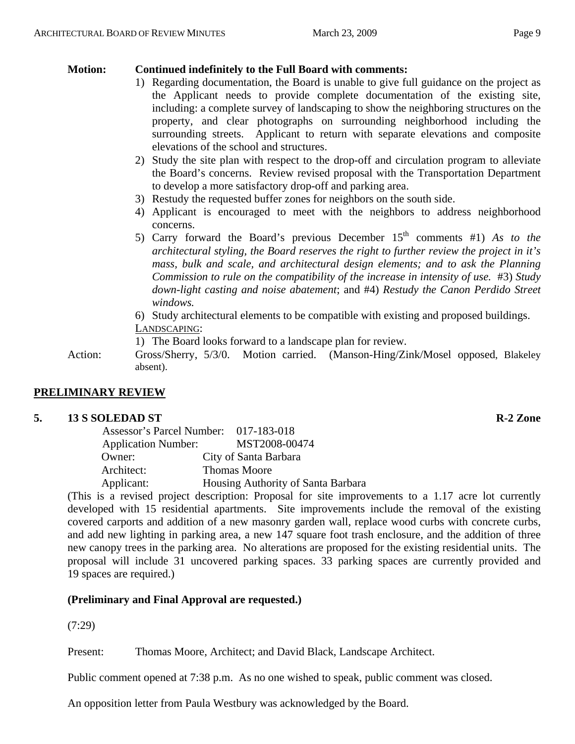# **Motion: Continued indefinitely to the Full Board with comments:**

- 1) Regarding documentation, the Board is unable to give full guidance on the project as the Applicant needs to provide complete documentation of the existing site, including: a complete survey of landscaping to show the neighboring structures on the property, and clear photographs on surrounding neighborhood including the surrounding streets. Applicant to return with separate elevations and composite elevations of the school and structures.
- 2) Study the site plan with respect to the drop-off and circulation program to alleviate the Board's concerns. Review revised proposal with the Transportation Department to develop a more satisfactory drop-off and parking area.
- 3) Restudy the requested buffer zones for neighbors on the south side.
- 4) Applicant is encouraged to meet with the neighbors to address neighborhood concerns.
- 5) Carry forward the Board's previous December 15th comments #1) *As to the architectural styling, the Board reserves the right to further review the project in it's mass, bulk and scale, and architectural design elements; and to ask the Planning Commission to rule on the compatibility of the increase in intensity of use.* #3) *Study down-light casting and noise abatement*; and #4) *Restudy the Canon Perdido Street windows.*
- 6) Study architectural elements to be compatible with existing and proposed buildings. LANDSCAPING:

1) The Board looks forward to a landscape plan for review.

Action: Gross/Sherry, 5/3/0. Motion carried. (Manson-Hing/Zink/Mosel opposed, Blakeley absent).

# **PRELIMINARY REVIEW**

# **5. 13 S SOLEDAD ST R-2 Zone**

| Assessor's Parcel Number: 017-183-018            |  |
|--------------------------------------------------|--|
| MST2008-00474<br><b>Application Number:</b>      |  |
| City of Santa Barbara<br>Owner:                  |  |
| Architect:<br><b>Thomas Moore</b>                |  |
| Applicant:<br>Housing Authority of Santa Barbara |  |

(This is a revised project description: Proposal for site improvements to a 1.17 acre lot currently developed with 15 residential apartments. Site improvements include the removal of the existing covered carports and addition of a new masonry garden wall, replace wood curbs with concrete curbs, and add new lighting in parking area, a new 147 square foot trash enclosure, and the addition of three new canopy trees in the parking area. No alterations are proposed for the existing residential units. The proposal will include 31 uncovered parking spaces. 33 parking spaces are currently provided and 19 spaces are required.)

# **(Preliminary and Final Approval are requested.)**

(7:29)

Present: Thomas Moore, Architect; and David Black, Landscape Architect.

Public comment opened at 7:38 p.m. As no one wished to speak, public comment was closed.

An opposition letter from Paula Westbury was acknowledged by the Board.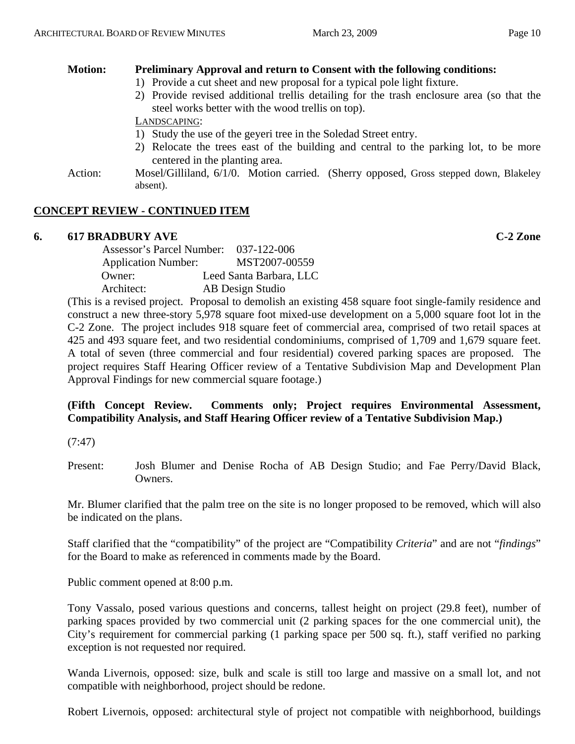# **Motion: Preliminary Approval and return to Consent with the following conditions:**

- 1) Provide a cut sheet and new proposal for a typical pole light fixture.
- 2) Provide revised additional trellis detailing for the trash enclosure area (so that the steel works better with the wood trellis on top).

LANDSCAPING:

- 1) Study the use of the geyeri tree in the Soledad Street entry.
- 2) Relocate the trees east of the building and central to the parking lot, to be more centered in the planting area.
- Action: Mosel/Gilliland, 6/1/0. Motion carried. (Sherry opposed, Gross stepped down, Blakeley absent).

# **CONCEPT REVIEW - CONTINUED ITEM**

# **6. 617 BRADBURY AVE C-2 Zone**

| <b>Assessor's Parcel Number:</b> | 037-122-006             |
|----------------------------------|-------------------------|
| <b>Application Number:</b>       | MST2007-00559           |
| Owner:                           | Leed Santa Barbara, LLC |
| Architect:                       | AB Design Studio        |
|                                  |                         |

(This is a revised project. Proposal to demolish an existing 458 square foot single-family residence and construct a new three-story 5,978 square foot mixed-use development on a 5,000 square foot lot in the C-2 Zone. The project includes 918 square feet of commercial area, comprised of two retail spaces at 425 and 493 square feet, and two residential condominiums, comprised of 1,709 and 1,679 square feet. A total of seven (three commercial and four residential) covered parking spaces are proposed. The project requires Staff Hearing Officer review of a Tentative Subdivision Map and Development Plan Approval Findings for new commercial square footage.)

# **(Fifth Concept Review. Comments only; Project requires Environmental Assessment, Compatibility Analysis, and Staff Hearing Officer review of a Tentative Subdivision Map.)**

(7:47)

Present: Josh Blumer and Denise Rocha of AB Design Studio; and Fae Perry/David Black, Owners.

Mr. Blumer clarified that the palm tree on the site is no longer proposed to be removed, which will also be indicated on the plans.

Staff clarified that the "compatibility" of the project are "Compatibility *Criteria*" and are not "*findings*" for the Board to make as referenced in comments made by the Board.

Public comment opened at 8:00 p.m.

Tony Vassalo, posed various questions and concerns, tallest height on project (29.8 feet), number of parking spaces provided by two commercial unit (2 parking spaces for the one commercial unit), the City's requirement for commercial parking (1 parking space per 500 sq. ft.), staff verified no parking exception is not requested nor required.

Wanda Livernois, opposed: size, bulk and scale is still too large and massive on a small lot, and not compatible with neighborhood, project should be redone.

Robert Livernois, opposed: architectural style of project not compatible with neighborhood, buildings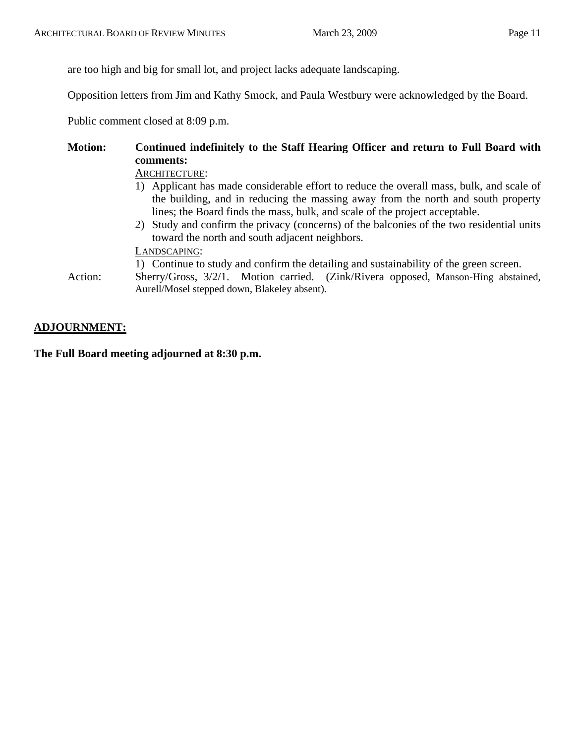are too high and big for small lot, and project lacks adequate landscaping.

Opposition letters from Jim and Kathy Smock, and Paula Westbury were acknowledged by the Board.

Public comment closed at 8:09 p.m.

# **Motion: Continued indefinitely to the Staff Hearing Officer and return to Full Board with comments:**  ARCHITECTURE: 1) Applicant has made considerable effort to reduce the overall mass, bulk, and scale of

- the building, and in reducing the massing away from the north and south property lines; the Board finds the mass, bulk, and scale of the project acceptable.
- 2) Study and confirm the privacy (concerns) of the balconies of the two residential units toward the north and south adjacent neighbors.

LANDSCAPING:

1) Continue to study and confirm the detailing and sustainability of the green screen.

Action: Sherry/Gross, 3/2/1. Motion carried. (Zink/Rivera opposed, Manson-Hing abstained, Aurell/Mosel stepped down, Blakeley absent).

# **ADJOURNMENT:**

**The Full Board meeting adjourned at 8:30 p.m.**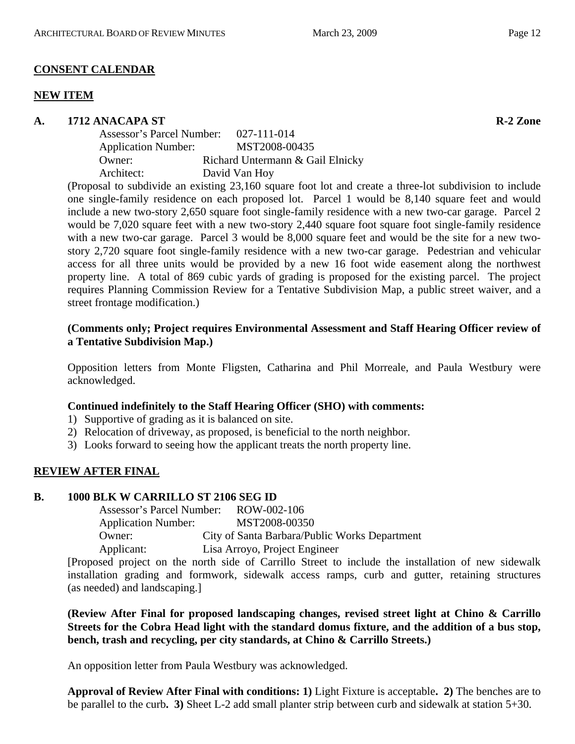# **CONSENT CALENDAR**

## **NEW ITEM**

**A. 1712 ANACAPA ST R-2 Zone** 

| Assessor's Parcel Number:  | 027-111-014                      |  |
|----------------------------|----------------------------------|--|
| <b>Application Number:</b> | MST2008-00435                    |  |
| Owner:                     | Richard Untermann & Gail Elnicky |  |
| Architect:                 | David Van Hoy                    |  |
|                            |                                  |  |

(Proposal to subdivide an existing 23,160 square foot lot and create a three-lot subdivision to include one single-family residence on each proposed lot. Parcel 1 would be 8,140 square feet and would include a new two-story 2,650 square foot single-family residence with a new two-car garage. Parcel 2 would be 7,020 square feet with a new two-story 2,440 square foot square foot single-family residence with a new two-car garage. Parcel 3 would be 8,000 square feet and would be the site for a new twostory 2,720 square foot single-family residence with a new two-car garage. Pedestrian and vehicular access for all three units would be provided by a new 16 foot wide easement along the northwest property line. A total of 869 cubic yards of grading is proposed for the existing parcel. The project requires Planning Commission Review for a Tentative Subdivision Map, a public street waiver, and a street frontage modification.)

# **(Comments only; Project requires Environmental Assessment and Staff Hearing Officer review of a Tentative Subdivision Map.)**

Opposition letters from Monte Fligsten, Catharina and Phil Morreale, and Paula Westbury were acknowledged.

# **Continued indefinitely to the Staff Hearing Officer (SHO) with comments:**

- 1) Supportive of grading as it is balanced on site.
- 2) Relocation of driveway, as proposed, is beneficial to the north neighbor.
- 3) Looks forward to seeing how the applicant treats the north property line.

# **REVIEW AFTER FINAL**

## **B. 1000 BLK W CARRILLO ST 2106 SEG ID**

Assessor's Parcel Number: ROW-002-106 Application Number: MST2008-00350 Owner: City of Santa Barbara/Public Works Department Applicant: Lisa Arroyo, Project Engineer

[Proposed project on the north side of Carrillo Street to include the installation of new sidewalk installation grading and formwork, sidewalk access ramps, curb and gutter, retaining structures (as needed) and landscaping.]

# **(Review After Final for proposed landscaping changes, revised street light at Chino & Carrillo Streets for the Cobra Head light with the standard domus fixture, and the addition of a bus stop, bench, trash and recycling, per city standards, at Chino & Carrillo Streets.)**

An opposition letter from Paula Westbury was acknowledged.

**Approval of Review After Final with conditions: 1)** Light Fixture is acceptable**. 2)** The benches are to be parallel to the curb**. 3)** Sheet L-2 add small planter strip between curb and sidewalk at station 5+30.